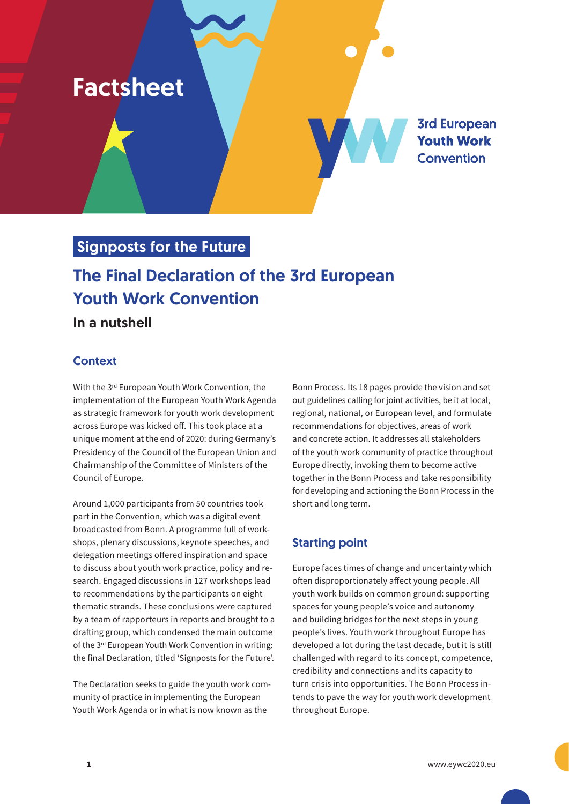# Factsheet

**3rd European Youth Work Convention** 

# Signposts for the Future

# The Final Declaration of the 3rd European Youth Work Convention

# In a nutshell

### **Context**

With the 3<sup>rd</sup> European Youth Work Convention, the implementation of the European Youth Work Agenda as strategic framework for youth work development across Europe was kicked off. This took place at a unique moment at the end of 2020: during Germany's Presidency of the Council of the European Union and Chairmanship of the Committee of Ministers of the Council of Europe.

Around 1,000 participants from 50 countries took part in the Convention, which was a digital event broadcasted from Bonn. A programme full of workshops, plenary discussions, keynote speeches, and delegation meetings offered inspiration and space to discuss about youth work practice, policy and research. Engaged discussions in 127 workshops lead to recommendations by the participants on eight thematic strands. These conclusions were captured by a team of rapporteurs in reports and brought to a drafting group, which condensed the main outcome of the 3<sup>rd</sup> European Youth Work Convention in writing: the final Declaration, titled 'Signposts for the Future'.

The Declaration seeks to guide the youth work community of practice in implementing the European Youth Work Agenda or in what is now known as the

Bonn Process. Its 18 pages provide the vision and set out guidelines calling for joint activities, be it at local, regional, national, or European level, and formulate recommendations for objectives, areas of work and concrete action. It addresses all stakeholders of the youth work community of practice throughout Europe directly, invoking them to become active together in the Bonn Process and take responsibility for developing and actioning the Bonn Process in the short and long term.

# Starting point

Europe faces times of change and uncertainty which often disproportionately affect young people. All youth work builds on common ground: supporting spaces for young people's voice and autonomy and building bridges for the next steps in young people's lives. Youth work throughout Europe has developed a lot during the last decade, but it is still challenged with regard to its concept, competence, credibility and connections and its capacity to turn crisis into opportunities. The Bonn Process intends to pave the way for youth work development throughout Europe.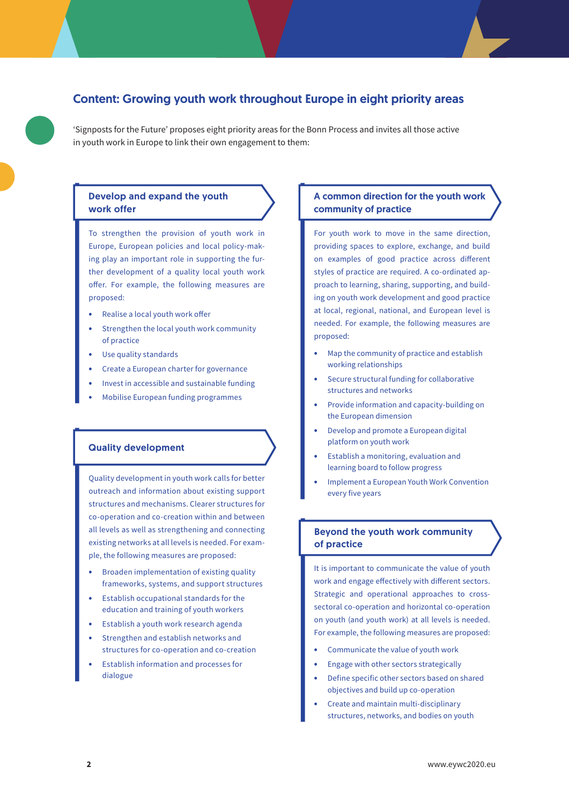### Content: Growing youth work throughout Europe in eight priority areas

'Signposts for the Future' proposes eight priority areas for the Bonn Process and invites all those active in youth work in Europe to link their own engagement to them:

#### Develop and expand the youth work offer

To strengthen the provision of youth work in Europe, European policies and local policy-making play an important role in supporting the further development of a quality local youth work offer. For example, the following measures are proposed:

- **•** Realise a local youth work offer
- **•** Strengthen the local youth work community of practice
- **•** Use quality standards
- **•** Create a European charter for governance
- **•** Invest in accessible and sustainable funding
- **•** Mobilise European funding programmes

#### Quality development

Quality development in youth work calls for better outreach and information about existing support structures and mechanisms. Clearer structures for co-operation and co-creation within and between all levels as well as strengthening and connecting existing networks at all levels is needed. For example, the following measures are proposed:

- **•** Broaden implementation of existing quality frameworks, systems, and support structures
- **•** Establish occupational standards for the education and training of youth workers
- **•** Establish a youth work research agenda
- **•** Strengthen and establish networks and structures for co-operation and co-creation
- **•** Establish information and processes for dialogue

#### A common direction for the youth work community of practice

For youth work to move in the same direction, providing spaces to explore, exchange, and build on examples of good practice across different styles of practice are required. A co-ordinated approach to learning, sharing, supporting, and building on youth work development and good practice at local, regional, national, and European level is needed. For example, the following measures are proposed:

- **•** Map the community of practice and establish working relationships
- **•** Secure structural funding for collaborative structures and networks
- **•** Provide information and capacity-building on the European dimension
- **•** Develop and promote a European digital platform on youth work
- **•** Establish a monitoring, evaluation and learning board to follow progress
- **•** Implement a European Youth Work Convention every five years

#### Beyond the youth work community of practice

It is important to communicate the value of youth work and engage effectively with different sectors. Strategic and operational approaches to crosssectoral co-operation and horizontal co-operation on youth (and youth work) at all levels is needed. For example, the following measures are proposed:

- **•** Communicate the value of youth work
- **•** Engage with other sectors strategically
- **•** Define specific other sectors based on shared objectives and build up co-operation
- **•** Create and maintain multi-disciplinary structures, networks, and bodies on youth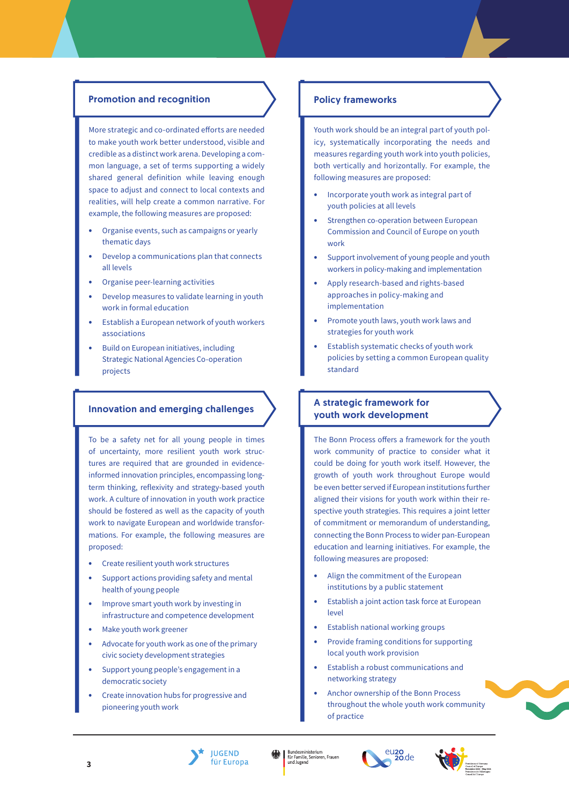#### Promotion and recognition

More strategic and co-ordinated efforts are needed to make youth work better understood, visible and credible as a distinct work arena. Developing a common language, a set of terms supporting a widely shared general definition while leaving enough space to adjust and connect to local contexts and realities, will help create a common narrative. For example, the following measures are proposed:

- **•** Organise events, such as campaigns or yearly thematic days
- **•** Develop a communications plan that connects all levels
- **•** Organise peer-learning activities
- **•** Develop measures to validate learning in youth work in formal education
- **•** Establish a European network of youth workers associations
- **•** Build on European initiatives, including Strategic National Agencies Co-operation projects

To be a safety net for all young people in times of uncertainty, more resilient youth work structures are required that are grounded in evidenceinformed innovation principles, encompassing longterm thinking, reflexivity and strategy-based youth work. A culture of innovation in youth work practice should be fostered as well as the capacity of youth work to navigate European and worldwide transformations. For example, the following measures are proposed:

- **•** Create resilient youth work structures
- **•** Support actions providing safety and mental health of young people
- **•** Improve smart youth work by investing in infrastructure and competence development
- **•** Make youth work greener
- **•** Advocate for youth work as one of the primary civic society development strategies
- **•** Support young people's engagement in a democratic society
- **•** Create innovation hubs for progressive and pioneering youth work

#### Policy frameworks

Youth work should be an integral part of youth policy, systematically incorporating the needs and measures regarding youth work into youth policies, both vertically and horizontally. For example, the following measures are proposed:

- **•** Incorporate youth work as integral part of youth policies at all levels
- **•** Strengthen co-operation between European Commission and Council of Europe on youth work
- **•** Support involvement of young people and youth workers in policy-making and implementation
- **•** Apply research-based and rights-based approaches in policy-making and implementation
- **•** Promote youth laws, youth work laws and strategies for youth work
- **•** Establish systematic checks of youth work policies by setting a common European quality standard

### Innovation and emerging challenges A strategic framework for youth work development

The Bonn Process offers a framework for the youth work community of practice to consider what it could be doing for youth work itself. However, the growth of youth work throughout Europe would be even better served if European institutions further aligned their visions for youth work within their respective youth strategies. This requires a joint letter of commitment or memorandum of understanding, connecting the Bonn Process to wider pan-European education and learning initiatives. For example, the following measures are proposed:

- **•** Align the commitment of the European institutions by a public statement
- **•** Establish a joint action task force at European level
- **•** Establish national working groups
- **•** Provide framing conditions for supporting local youth work provision
- **•** Establish a robust communications and networking strategy
- **•** Anchor ownership of the Bonn Process throughout the whole youth work community of practice

**3**



Bundesministerium<br>für Familie, Senioren, Frauen<br>und Jugend